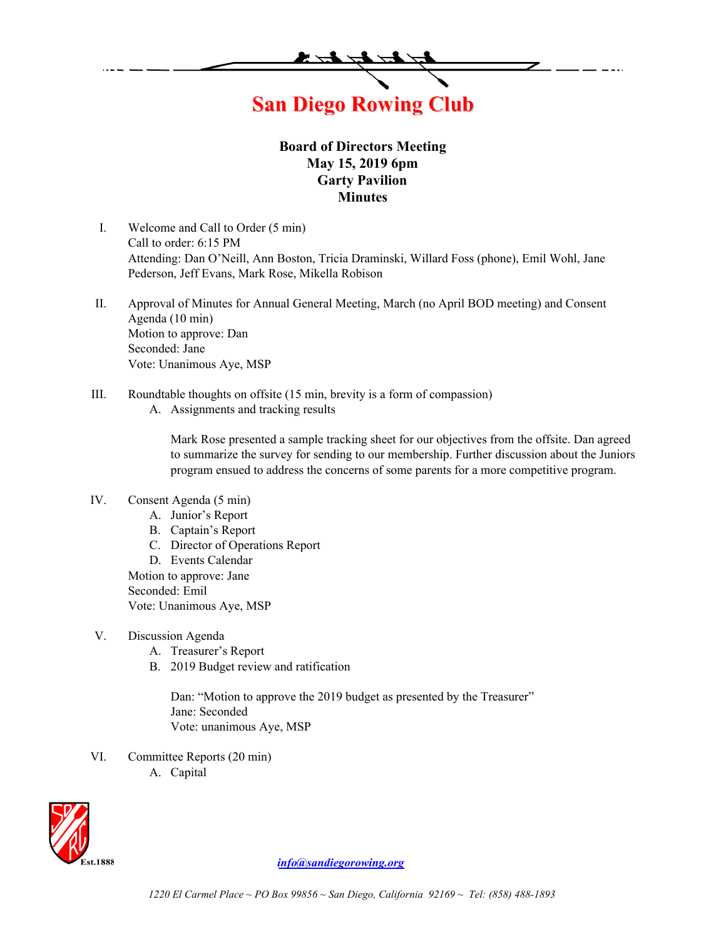

## **Board of Directors Meeting May 15, 2019 6pm Garty Pavilion Minutes**

- I. Welcome and Call to Order (5 min) Call to order: 6:15 PM Attending: Dan O'Neill, Ann Boston, Tricia Draminski, Willard Foss (phone), Emil Wohl, Jane Pederson, Jeff Evans, Mark Rose, Mikella Robison
- II. Approval of Minutes for Annual General Meeting, March (no April BOD meeting) and Consent Agenda (10 min) Motion to approve: Dan Seconded: Jane Vote: Unanimous Aye, MSP
- III. Roundtable thoughts on offsite (15 min, brevity is a form of compassion)
	- A. Assignments and tracking results

Mark Rose presented a sample tracking sheet for our objectives from the offsite. Dan agreed to summarize the survey for sending to our membership. Further discussion about the Juniors program ensued to address the concerns of some parents for a more competitive program.

## IV. Consent Agenda (5 min)

- A. Junior's Report
- B. Captain's Report
- C. Director of Operations Report

D. Events Calendar Motion to approve: Jane Seconded: Emil Vote: Unanimous Aye, MSP

- V. Discussion Agenda
	- A. Treasurer's Report
	- B. 2019 Budget review and ratification

Dan: "Motion to approve the 2019 budget as presented by the Treasurer" Jane: Seconded Vote: unanimous Aye, MSP

- VI. Committee Reports (20 min)
	- A. Capital



*info@sandiegorowing.org*